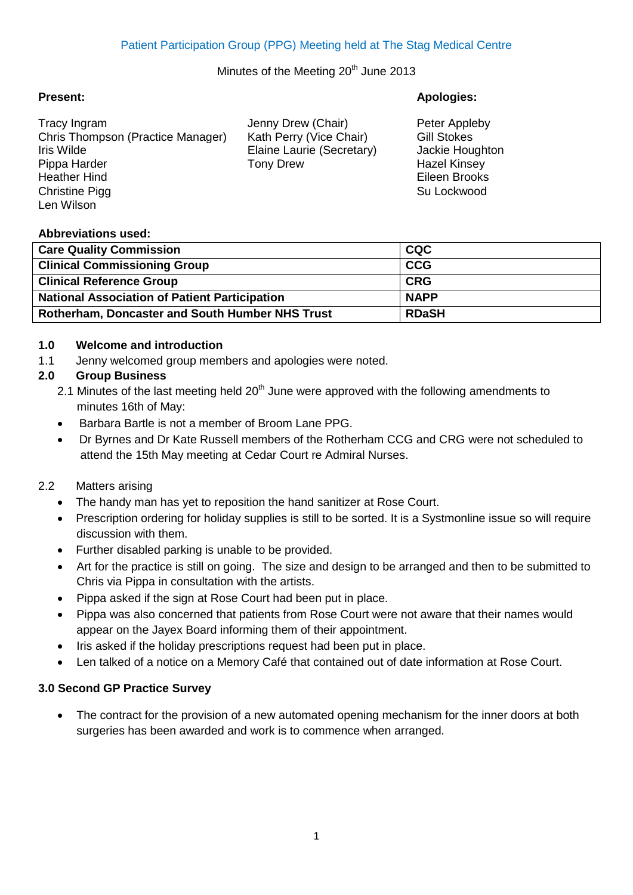## Minutes of the Meeting 20<sup>th</sup> June 2013

Tracy Ingram Jenny Drew (Chair) Peter Appleby Chris Thompson (Practice Manager) Kath Perry (Vice Chair) Gill Stokes Iris Wilde Elaine Laurie (Secretary) Jackie Houghton Pippa Harder **Tony Drew Hazel Kinsey Hazel Kinsey** Heather Hind Eileen Brooks Christine Pigg Su Lockwood **Christine Pigg** Su Lockwood **Su Lockwood** Su Lockwood **Su Lockwood** Len Wilson

**Present: Apologies:**

## **Abbreviations used:**

| <b>Care Quality Commission</b>                         | <b>CQC</b>   |
|--------------------------------------------------------|--------------|
| <b>Clinical Commissioning Group</b>                    | <b>CCG</b>   |
| <b>Clinical Reference Group</b>                        | <b>CRG</b>   |
| <b>National Association of Patient Participation</b>   | <b>NAPP</b>  |
| <b>Rotherham, Doncaster and South Humber NHS Trust</b> | <b>RDaSH</b> |

## **1.0 Welcome and introduction**

1.1 Jenny welcomed group members and apologies were noted.

## **2.0 Group Business**

- 2.1 Minutes of the last meeting held  $20<sup>th</sup>$  June were approved with the following amendments to minutes 16th of May:
- Barbara Bartle is not a member of Broom Lane PPG.
- Dr Byrnes and Dr Kate Russell members of the Rotherham CCG and CRG were not scheduled to attend the 15th May meeting at Cedar Court re Admiral Nurses.

## 2.2 Matters arising

- The handy man has yet to reposition the hand sanitizer at Rose Court.
- Prescription ordering for holiday supplies is still to be sorted. It is a Systmonline issue so will require discussion with them.
- Further disabled parking is unable to be provided.
- Art for the practice is still on going. The size and design to be arranged and then to be submitted to Chris via Pippa in consultation with the artists.
- Pippa asked if the sign at Rose Court had been put in place.
- Pippa was also concerned that patients from Rose Court were not aware that their names would appear on the Jayex Board informing them of their appointment.
- Iris asked if the holiday prescriptions request had been put in place.
- Len talked of a notice on a Memory Café that contained out of date information at Rose Court.

## **3.0 Second GP Practice Survey**

 The contract for the provision of a new automated opening mechanism for the inner doors at both surgeries has been awarded and work is to commence when arranged.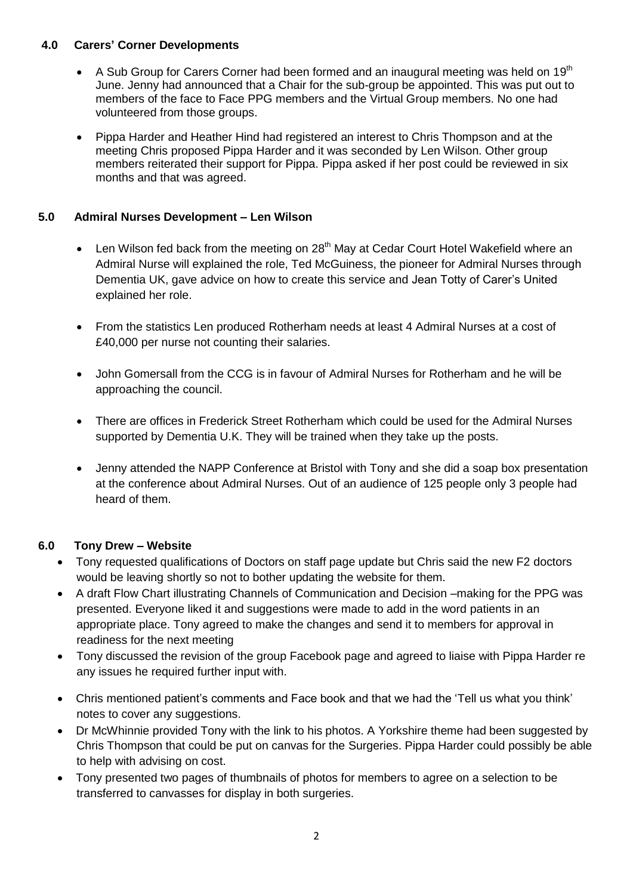## **4.0 Carers' Corner Developments**

- A Sub Group for Carers Corner had been formed and an inaugural meeting was held on 19<sup>th</sup> June. Jenny had announced that a Chair for the sub-group be appointed. This was put out to members of the face to Face PPG members and the Virtual Group members. No one had volunteered from those groups.
- Pippa Harder and Heather Hind had registered an interest to Chris Thompson and at the meeting Chris proposed Pippa Harder and it was seconded by Len Wilson. Other group members reiterated their support for Pippa. Pippa asked if her post could be reviewed in six months and that was agreed.

## **5.0 Admiral Nurses Development – Len Wilson**

- Len Wilson fed back from the meeting on 28<sup>th</sup> May at Cedar Court Hotel Wakefield where an Admiral Nurse will explained the role, Ted McGuiness, the pioneer for Admiral Nurses through Dementia UK, gave advice on how to create this service and Jean Totty of Carer's United explained her role.
- From the statistics Len produced Rotherham needs at least 4 Admiral Nurses at a cost of £40,000 per nurse not counting their salaries.
- John Gomersall from the CCG is in favour of Admiral Nurses for Rotherham and he will be approaching the council.
- There are offices in Frederick Street Rotherham which could be used for the Admiral Nurses supported by Dementia U.K. They will be trained when they take up the posts.
- Jenny attended the NAPP Conference at Bristol with Tony and she did a soap box presentation at the conference about Admiral Nurses. Out of an audience of 125 people only 3 people had heard of them.

## **6.0 Tony Drew – Website**

- Tony requested qualifications of Doctors on staff page update but Chris said the new F2 doctors would be leaving shortly so not to bother updating the website for them.
- A draft Flow Chart illustrating Channels of Communication and Decision –making for the PPG was presented. Everyone liked it and suggestions were made to add in the word patients in an appropriate place. Tony agreed to make the changes and send it to members for approval in readiness for the next meeting
- Tony discussed the revision of the group Facebook page and agreed to liaise with Pippa Harder re any issues he required further input with.
- Chris mentioned patient's comments and Face book and that we had the 'Tell us what you think' notes to cover any suggestions.
- Dr McWhinnie provided Tony with the link to his photos. A Yorkshire theme had been suggested by Chris Thompson that could be put on canvas for the Surgeries. Pippa Harder could possibly be able to help with advising on cost.
- Tony presented two pages of thumbnails of photos for members to agree on a selection to be transferred to canvasses for display in both surgeries.